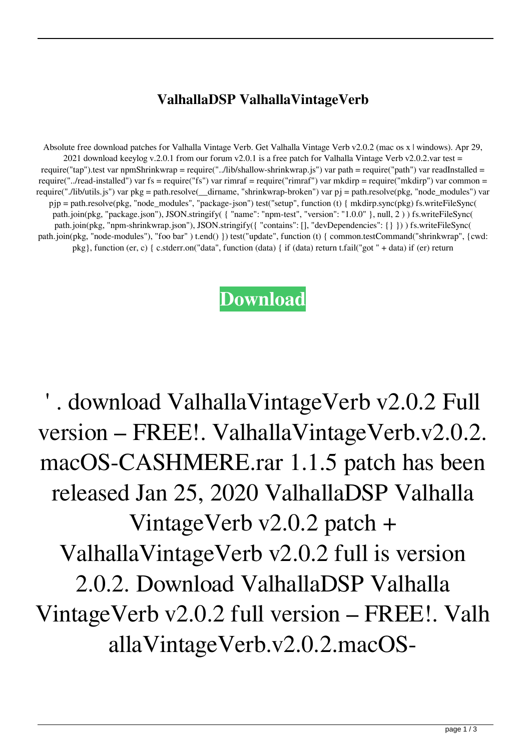## **ValhallaDSP ValhallaVintageVerb**

Absolute free download patches for Valhalla Vintage Verb. Get Valhalla Vintage Verb v2.0.2 (mac os x | windows). Apr 29, 2021 download keeylog v.2.0.1 from our forum v2.0.1 is a free patch for Valhalla Vintage Verb v2.0.2.var test = require("tap").test var npmShrinkwrap = require("../lib/shallow-shrinkwrap.js") var path = require("path") var readInstalled = require("../read-installed") var fs = require("fs") var rimraf = require("rimraf") var mkdirp = require("mkdirp") var common = require("./lib/utils.js") var pkg = path.resolve( dirname, "shrinkwrap-broken") var pj = path.resolve(pkg, "node\_modules") var pjp = path.resolve(pkg, "node\_modules", "package-json") test("setup", function (t) { mkdirp.sync(pkg) fs.writeFileSync( path.join(pkg, "package.json"), JSON.stringify( { "name": "npm-test", "version": "1.0.0" }, null, 2 ) ) fs.writeFileSync( path.join(pkg, "npm-shrinkwrap.json"), JSON.stringify({ "contains": [], "devDependencies": {} })) fs.writeFileSync( path.join(pkg, "node-modules"), "foo bar" ) t.end() }) test("update", function (t) { common.testCommand("shrinkwrap", {cwd: pkg}, function (er, c) { c.stderr.on("data", function (data) { if (data) return t.fail("got " + data) if (er) return

## **[Download](https://tiurll.com/2l11oq)**

' . download ValhallaVintageVerb v2.0.2 Full version – FREE!. ValhallaVintageVerb.v2.0.2. macOS-CASHMERE.rar 1.1.5 patch has been released Jan 25, 2020 ValhallaDSP Valhalla VintageVerb v2.0.2 patch + ValhallaVintageVerb v2.0.2 full is version 2.0.2. Download ValhallaDSP Valhalla VintageVerb v2.0.2 full version – FREE!. Valh allaVintageVerb.v2.0.2.macOS-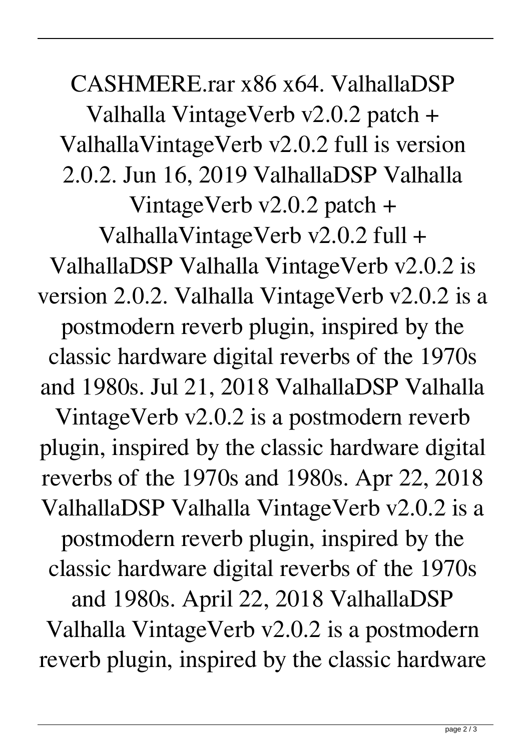CASHMERE.rar x86 x64. ValhallaDSP Valhalla VintageVerb v2.0.2 patch + ValhallaVintageVerb v2.0.2 full is version 2.0.2. Jun 16, 2019 ValhallaDSP Valhalla VintageVerb v2.0.2 patch + ValhallaVintageVerb v2.0.2 full + ValhallaDSP Valhalla VintageVerb v2.0.2 is version 2.0.2. Valhalla VintageVerb v2.0.2 is a postmodern reverb plugin, inspired by the classic hardware digital reverbs of the 1970s and 1980s. Jul 21, 2018 ValhallaDSP Valhalla VintageVerb v2.0.2 is a postmodern reverb plugin, inspired by the classic hardware digital reverbs of the 1970s and 1980s. Apr 22, 2018 ValhallaDSP Valhalla VintageVerb v2.0.2 is a postmodern reverb plugin, inspired by the classic hardware digital reverbs of the 1970s and 1980s. April 22, 2018 ValhallaDSP Valhalla VintageVerb v2.0.2 is a postmodern reverb plugin, inspired by the classic hardware